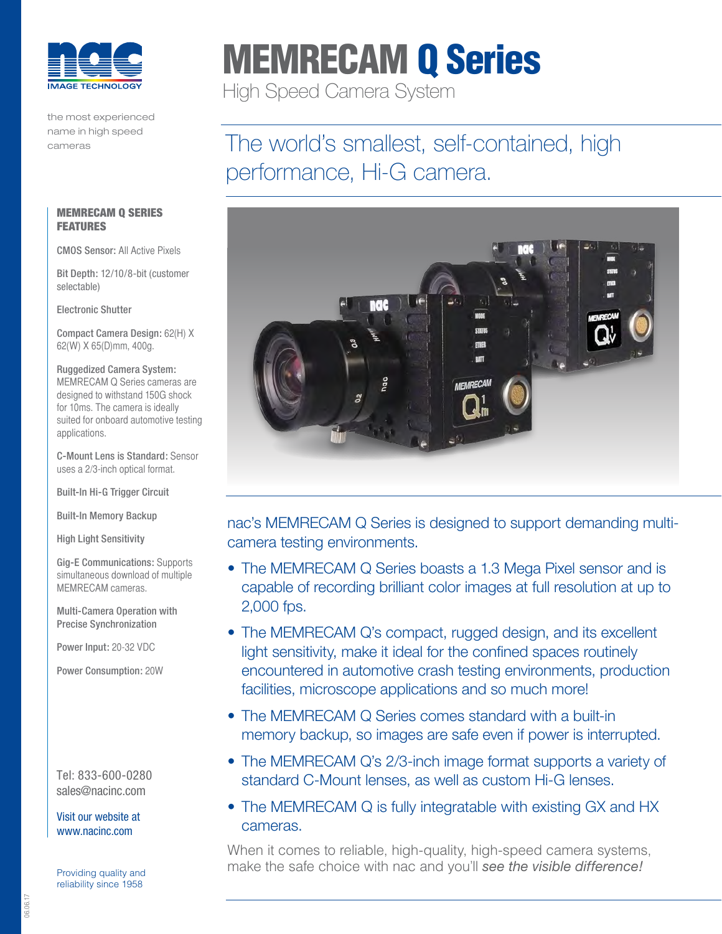

the most experienced name in high speed cameras

# MEMRECAM Q Series

High Speed Camera System

# The world's smallest, self-contained, high performance, Hi-G camera.



nac's MEMRECAM Q Series is designed to support demanding multicamera testing environments.

- The MEMRECAM Q Series boasts a 1.3 Mega Pixel sensor and is capable of recording brilliant color images at full resolution at up to 2,000 fps.
- The MEMRECAM Q's compact, rugged design, and its excellent light sensitivity, make it ideal for the confined spaces routinely encountered in automotive crash testing environments, production facilities, microscope applications and so much more!
- The MEMRECAM Q Series comes standard with a built-in memory backup, so images are safe even if power is interrupted.
- The MEMRECAM Q's 2/3-inch image format supports a variety of standard C-Mount lenses, as well as custom Hi-G lenses.
- The MEMRECAM Q is fully integratable with existing GX and HX cameras.

When it comes to reliable, high-quality, high-speed camera systems, make the safe choice with nac and you'll *see the visible difference!* Providing quality and

## MEMRECAM Q SERIES **FEATURES**

CMOS Sensor: All Active Pixels

Bit Depth: 12/10/8-bit (customer selectable)

Electronic Shutter

Compact Camera Design: 62(H) X 62(W) X 65(D)mm, 400g.

Ruggedized Camera System: MEMRECAM Q Series cameras are designed to withstand 150G shock for 10ms. The camera is ideally suited for onboard automotive testing applications.

C-Mount Lens is Standard: Sensor uses a 2/3-inch optical format.

Built-In Hi-G Trigger Circuit

Built-In Memory Backup

High Light Sensitivity

Gig-E Communications: Supports simultaneous download of multiple MEMRECAM cameras.

Multi-Camera Operation with Precise Synchronization

Power Input: 20-32 VDC

Power Consumption: 20W

Tel: 833-600-0280 sales@nacinc.com

[Visit our website at](http://www.nac.com)  [www.nacinc.com](http://www.nac.com)

reliability since 1958